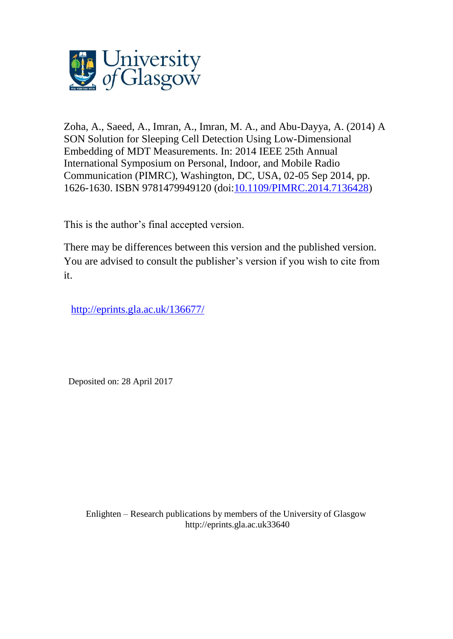

Zoha, A., Saeed, A., Imran, A., Imran, M. A., and Abu-Dayya, A. (2014) A SON Solution for Sleeping Cell Detection Using Low-Dimensional Embedding of MDT Measurements. In: 2014 IEEE 25th Annual International Symposium on Personal, Indoor, and Mobile Radio Communication (PIMRC), Washington, DC, USA, 02-05 Sep 2014, pp. 1626-1630. ISBN 9781479949120 (doi[:10.1109/PIMRC.2014.7136428\)](http://dx.doi.org/10.1109/PIMRC.2014.7136428)

This is the author's final accepted version.

There may be differences between this version and the published version. You are advised to consult the publisher's version if you wish to cite from it.

[http://eprints.gla.ac.uk/136677/](http://eprints.gla.ac.uk/136676/)

Deposited on: 28 April 2017

Enlighten – Research publications by members of the University of Glasgo[w](http://eprints.gla.ac.uk/) [http://eprints.gla.ac.uk3](http://eprints.gla.ac.uk/)3640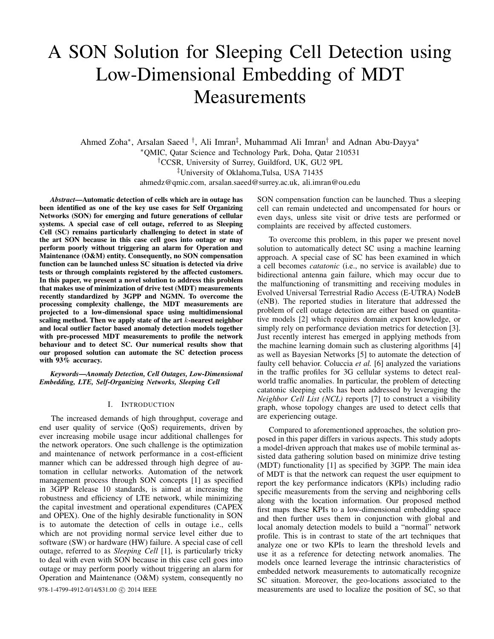# A SON Solution for Sleeping Cell Detection using Low-Dimensional Embedding of MDT Measurements

Ahmed Zoha<sup>∗</sup>, Arsalan Saeed <sup>†</sup>, Ali Imran<sup>‡</sup>, Muhammad Ali Imran<sup>†</sup> and Adnan Abu-Dayya<sup>∗</sup> <sup>∗</sup>QMIC, Qatar Science and Technology Park, Doha, Qatar 210531 †CCSR, University of Surrey, Guildford, UK, GU2 9PL ‡University of Oklahoma,Tulsa, USA 71435 ahmedz@qmic.com, arsalan.saeed@surrey.ac.uk, ali.imran@ou.edu

*Abstract*—Automatic detection of cells which are in outage has been identified as one of the key use cases for Self Organizing Networks (SON) for emerging and future generations of cellular systems. A special case of cell outage, referred to as Sleeping Cell (SC) remains particularly challenging to detect in state of the art SON because in this case cell goes into outage or may perform poorly without triggering an alarm for Operation and Maintenance (O&M) entity. Consequently, no SON compensation function can be launched unless SC situation is detected via drive tests or through complaints registered by the affected customers. In this paper, we present a novel solution to address this problem that makes use of minimization of drive test (MDT) measurements recently standardized by 3GPP and NGMN. To overcome the processing complexity challenge, the MDT measurements are projected to a low-dimensional space using multidimensional scaling method. Then we apply state of the art  $k$ -nearest neighbor and local outlier factor based anomaly detection models together with pre-processed MDT measurements to profile the network behaviour and to detect SC. Our numerical results show that our proposed solution can automate the SC detection process with 93% accuracy.

*Keywords*—*Anomaly Detection, Cell Outages, Low-Dimensional Embedding, LTE, Self-Organizing Networks, Sleeping Cell*

# I. INTRODUCTION

The increased demands of high throughput, coverage and end user quality of service (QoS) requirements, driven by ever increasing mobile usage incur additional challenges for the network operators. One such challenge is the optimization and maintenance of network performance in a cost-efficient manner which can be addressed through high degree of automation in cellular networks. Automation of the network management process through SON concepts [1] as specified in 3GPP Release 10 standards, is aimed at increasing the robustness and efficiency of LTE network, while minimizing the capital investment and operational expenditures (CAPEX and OPEX). One of the highly desirable functionality in SON is to automate the detection of cells in outage i.e., cells which are not providing normal service level either due to software (SW) or hardware (HW) failure. A special case of cell outage, referred to as *Sleeping Cell* [1], is particularly tricky to deal with even with SON because in this case cell goes into outage or may perform poorly without triggering an alarm for Operation and Maintenance (O&M) system, consequently no

SON compensation function can be launched. Thus a sleeping cell can remain undetected and uncompensated for hours or even days, unless site visit or drive tests are performed or complaints are received by affected customers.

To overcome this problem, in this paper we present novel solution to automatically detect SC using a machine learning approach. A special case of SC has been examined in which a cell becomes *catatonic* (i.e., no service is available) due to bidirectional antenna gain failure, which may occur due to the malfunctioning of transmitting and receiving modules in Evolved Universal Terrestrial Radio Access (E-UTRA) NodeB (eNB). The reported studies in literature that addressed the problem of cell outage detection are either based on quantitative models [2] which requires domain expert knowledge, or simply rely on performance deviation metrics for detection [3]. Just recently interest has emerged in applying methods from the machine learning domain such as clustering algorithms [4] as well as Bayesian Networks [5] to automate the detection of faulty cell behavior. Coluccia *et al.* [6] analyzed the variations in the traffic profiles for 3G cellular systems to detect realworld traffic anomalies. In particular, the problem of detecting catatonic sleeping cells has been addressed by leveraging the *Neighbor Cell List (NCL)* reports [7] to construct a visibility graph, whose topology changes are used to detect cells that are experiencing outage.

Compared to aforementioned approaches, the solution proposed in this paper differs in various aspects. This study adopts a model-driven approach that makes use of mobile terminal assisted data gathering solution based on minimize drive testing (MDT) functionality [1] as specified by 3GPP. The main idea of MDT is that the network can request the user equipment to report the key performance indicators (KPIs) including radio specific measurements from the serving and neighboring cells along with the location information. Our proposed method first maps these KPIs to a low-dimensional embedding space and then further uses them in conjunction with global and local anomaly detection models to build a "normal" network profile. This is in contrast to state of the art techniques that analyze one or two KPIs to learn the threshold levels and use it as a reference for detecting network anomalies. The models once learned leverage the intrinsic characteristics of embedded network measurements to automatically recognize SC situation. Moreover, the geo-locations associated to the 978-1-4799-4912-0/14/\$31.00  $\odot$  2014 IEEE measurements are used to localize the position of SC, so that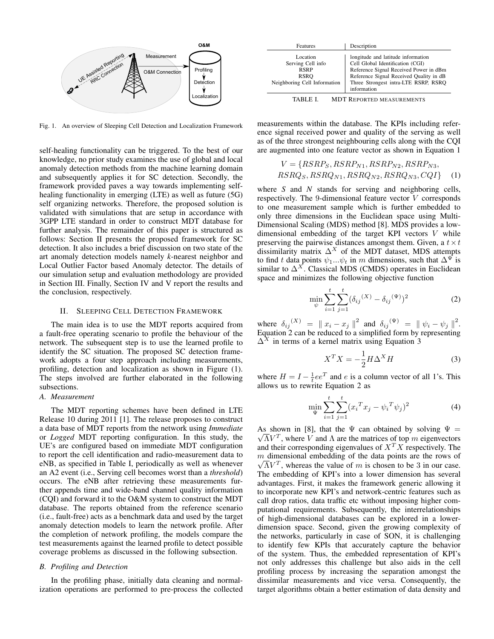

Fig. 1. An overview of Sleeping Cell Detection and Localization Framework

self-healing functionality can be triggered. To the best of our knowledge, no prior study examines the use of global and local anomaly detection methods from the machine learning domain and subsequently applies it for SC detection. Secondly, the framework provided paves a way towards implementing selfhealing functionality in emerging (LTE) as well as future (5G) self organizing networks. Therefore, the proposed solution is validated with simulations that are setup in accordance with 3GPP LTE standard in order to construct MDT database for further analysis. The remainder of this paper is structured as follows: Section II presents the proposed framework for SC detection. It also includes a brief discussion on two state of the art anomaly detection models namely *k*-nearest neighbor and Local Outlier Factor based Anomaly detector. The details of our simulation setup and evaluation methodology are provided in Section III. Finally, Section IV and V report the results and the conclusion, respectively.

# II. SLEEPING CELL DETECTION FRAMEWORK

The main idea is to use the MDT reports acquired from a fault-free operating scenario to profile the behaviour of the network. The subsequent step is to use the learned profile to identify the SC situation. The proposed SC detection framework adopts a four step approach including measurements, profiling, detection and localization as shown in Figure (1). The steps involved are further elaborated in the following subsections.

## *A. Measurement*

The MDT reporting schemes have been defined in LTE Release 10 during 2011 [1]. The release proposes to construct a data base of MDT reports from the network using *Immediate* or *Logged* MDT reporting configuration. In this study, the UE's are configured based on immediate MDT configuration to report the cell identification and radio-measurement data to eNB, as specified in Table I, periodically as well as whenever an A2 event (i.e., Serving cell becomes worst than a *threshold*) occurs. The eNB after retrieving these measurements further appends time and wide-band channel quality information (CQI) and forward it to the O&M system to construct the MDT database. The reports obtained from the reference scenario (i.e., fault-free) acts as a benchmark data and used by the target anomaly detection models to learn the network profile. After the completion of network profiling, the models compare the test measurements against the learned profile to detect possible coverage problems as discussed in the following subsection.

# *B. Profiling and Detection*

In the profiling phase, initially data cleaning and normalization operations are performed to pre-process the collected

| Location<br>Serving Cell info<br><b>RSRP</b><br>RSRO<br>Neighboring Cell Information | longitude and latitude information<br>Cell Global Identification (CGI)<br>Reference Signal Received Power in dBm<br>Reference Signal Received Quality in dB<br>Three Strongest intra-LTE RSRP, RSRO<br>information |
|--------------------------------------------------------------------------------------|--------------------------------------------------------------------------------------------------------------------------------------------------------------------------------------------------------------------|

TABLE I. MDT REPORTED MEASUREMENTS

measurements within the database. The KPIs including reference signal received power and quality of the serving as well as of the three strongest neighbouring cells along with the CQI are augmented into one feature vector as shown in Equation 1

$$
V = \{RSRP_S, RSRP_{N1}, RSRP_{N2}, RSRP_{N3},
$$
  
\n
$$
RSRQ_S, RSRQ_{N1}, RSRQ_{N2}, RSRQ_{N3}, CQI\}
$$
 (1)

where *S* and *N* stands for serving and neighboring cells, respectively. The 9-dimensional feature vector V corresponds to one measurement sample which is further embedded to only three dimensions in the Euclidean space using Multi-Dimensional Scaling (MDS) method [8]. MDS provides a lowdimensional embedding of the target KPI vectors V while preserving the pairwise distances amongst them. Given, a  $t \times t$ dissimilarity matrix  $\Delta^X$  of the MDT dataset, MDS attempts to find t data points  $\psi_1...\psi_t$  in m dimensions, such that  $\Delta^{\Psi}$  is similar to  $\Delta^X$ . Classical MDS (CMDS) operates in Euclidean space and minimizes the following objective function

$$
\min_{\psi} \sum_{i=1}^{t} \sum_{j=1}^{t} (\delta_{ij}^{(X)} - \delta_{ij}^{(\Psi)})^2
$$
 (2)

where  $\delta_{ij}^{(X)} = ||x_i - x_j||^2$  and  $\delta_{ij}^{(\Psi)} = ||\psi_i - \psi_j||^2$ . Equation 2 can be reduced to a simplified form by representing  $\Delta^X$  in terms of a kernel matrix using Equation 3

$$
X^T X = -\frac{1}{2} H \Delta^X H \tag{3}
$$

where  $H = I - \frac{1}{t}ee^T$  and e is a column vector of all 1's. This allows us to rewrite Equation 2 as

$$
\min_{\Psi} \sum_{i=1}^{t} \sum_{j=1}^{t} (x_i^T x_j - \psi_i^T \psi_j)^2
$$
 (4)

As shown in [8], that the  $\Psi$  can obtained by solving  $\Psi = \sqrt{\sum_{n=1}^{N} P_n}$  $\overline{\Lambda}V^T$ , where V and  $\Lambda$  are the matrices of top m eigenvectors and their corresponding eigenvalues of  $X^T X$  respectively. The  $m$  dimensional embedding of the data points are the rows of  $\overline{\Lambda}V^T$ , whereas the value of m is chosen to be 3 in our case. The embedding of KPI's into a lower dimension has several advantages. First, it makes the framework generic allowing it to incorporate new KPI's and network-centric features such as call drop ratios, data traffic etc without imposing higher computational requirements. Subsequently, the interrelationships of high-dimensional databases can be explored in a lowerdimension space. Second, given the growing complexity of the networks, particularly in case of SON, it is challenging to identify few KPIs that accurately capture the behavior of the system. Thus, the embedded representation of KPI's not only addresses this challenge but also aids in the cell profiling process by increasing the separation amongst the dissimilar measurements and vice versa. Consequently, the target algorithms obtain a better estimation of data density and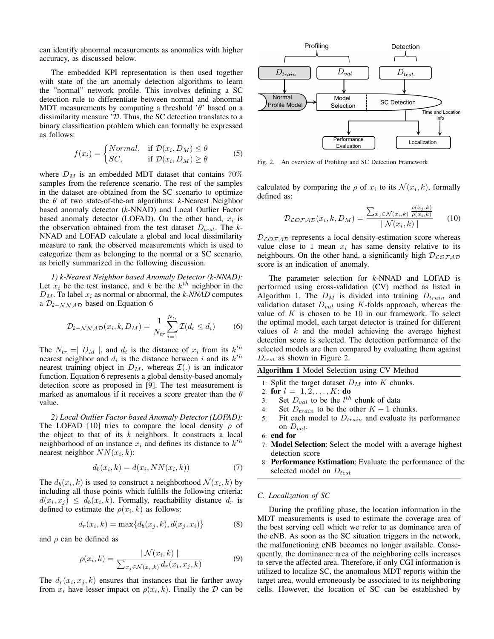can identify abnormal measurements as anomalies with higher accuracy, as discussed below.

The embedded KPI representation is then used together with state of the art anomaly detection algorithms to learn the "normal" network profile. This involves defining a SC detection rule to differentiate between normal and abnormal MDT measurements by computing a threshold  $\theta$  based on a dissimilarity measure 'D. Thus, the SC detection translates to a binary classification problem which can formally be expressed as follows:

$$
f(x_i) = \begin{cases} Normal, & \text{if } \mathcal{D}(x_i, D_M) \le \theta \\ SC, & \text{if } \mathcal{D}(x_i, D_M) \ge \theta \end{cases}
$$
 (5)

where  $D_M$  is an embedded MDT dataset that contains 70% samples from the reference scenario. The rest of the samples in the dataset are obtained from the SC scenario to optimize the θ of two state-of-the-art algorithms: *k*-Nearest Neighbor based anomaly detector (*k*-NNAD) and Local Outlier Factor based anomaly detector (LOFAD). On the other hand,  $x_i$  is the observation obtained from the test dataset  $D_{test}$ . The *k*-NNAD and LOFAD calculate a global and local dissimilarity measure to rank the observed measurements which is used to categorize them as belonging to the normal or a SC scenario, as briefly summarized in the following discussion.

*1) k-Nearest Neighbor based Anomaly Detector (k-NNAD):* Let  $x_i$  be the test instance, and k be the  $k^{th}$  neighbor in the  $D_M$ . To label  $x_i$  as normal or abnormal, the *k-NNAD* computes a D*k*−NNAD based on Equation 6

$$
\mathcal{D}_{k-\mathcal{N}\mathcal{N}\mathcal{A}\mathcal{D}}(x_i, k, D_M) = \frac{1}{N_{tr}} \sum_{i=1}^{N_{tr}} \mathcal{I}(d_t \le d_i)
$$
(6)

The  $N_{tr} = | D_M |$ , and  $d_t$  is the distance of  $x_i$  from its  $k^{th}$ . nearest neighbor and  $d_i$  is the distance between i and its  $k^{th}$ nearest training object in  $D_M$ , whereas  $\mathcal{I}(\cdot)$  is an indicator function. Equation 6 represents a global density-based anomaly detection score as proposed in [9]. The test measurement is marked as anomalous if it receives a score greater than the  $\theta$ value.

*2) Local Outlier Factor based Anomaly Detector (LOFAD):* The LOFAD [10] tries to compare the local density  $\rho$  of the object to that of its *k* neighbors. It constructs a local neighborhood of an instance  $x_i$  and defines its distance to  $k^{th}$ nearest neighbor  $NN(x_i, k)$ :

$$
d_b(x_i, k) = d(x_i, NN(x_i, k))\tag{7}
$$

The  $d_b(x_i, k)$  is used to construct a neighborhood  $\mathcal{N}(x_i, k)$  by including all those points which fulfills the following criteria:  $d(x_i, x_j) \leq d_b(x_i, k)$ . Formally, reachability distance  $d_r$  is defined to estimate the  $\rho(x_i, k)$  as follows:

$$
d_r(x_i, k) = \max\{d_b(x_j, k), d(x_j, x_i)\}\tag{8}
$$

and  $\rho$  can be defined as

$$
\rho(x_i, k) = \frac{|\mathcal{N}(x_i, k)|}{\sum_{x_j \in \mathcal{N}(x_i, k)} d_r(x_i, x_j, k)} \tag{9}
$$

The  $d_r(x_i, x_j, k)$  ensures that instances that lie farther away from  $x_i$  have lesser impact on  $\rho(x_i, k)$ . Finally the  $\mathcal D$  can be



Fig. 2. An overview of Profiling and SC Detection Framework

calculated by comparing the  $\rho$  of  $x_i$  to its  $\mathcal{N}(x_i, k)$ , formally defined as:

$$
\mathcal{D}_{\mathcal{LOFAD}}(x_i, k, D_M) = \frac{\sum_{x_j \in \mathcal{N}(x_i, k)} \frac{\rho(x_j, k)}{\rho(x_i, k)}}{|\mathcal{N}(x_i, k)|}
$$
(10)

 $D_{\mathcal{L}OFA\mathcal{D}}$  represents a local density-estimation score whereas value close to 1 mean  $x_i$  has same density relative to its neighbours. On the other hand, a significantly high  $D_{\mathcal{L}O\mathcal{FAD}}$ score is an indication of anomaly.

The parameter selection for *k*-NNAD and LOFAD is performed using cross-validation (CV) method as listed in Algorithm 1. The  $D_M$  is divided into training  $D_{train}$  and validation dataset  $D_{val}$  using K-folds approach, whereas the value of  $K$  is chosen to be 10 in our framework. To select the optimal model, each target detector is trained for different values of  $k$  and the model achieving the average highest detection score is selected. The detection performance of the selected models are then compared by evaluating them against  $D_{test}$  as shown in Figure 2.

Algorithm 1 Model Selection using CV Method

1: Split the target dataset  $D<sub>M</sub>$  into K chunks.

- 2: for  $l = 1, 2, ..., K$ : do
- 3: Set  $D_{val}$  to be the  $l^{th}$  chunk of data
- 4: Set  $D_{train}$  to be the other  $K 1$  chunks.
- 5: Fit each model to  $D_{train}$  and evaluate its performance on  $D_{val}$ .
- 6: end for
- 7: Model Selection: Select the model with a average highest detection score
- 8: Performance Estimation: Evaluate the performance of the selected model on  $D_{test}$

#### *C. Localization of SC*

During the profiling phase, the location information in the MDT measurements is used to estimate the coverage area of the best serving cell which we refer to as dominance area of the eNB. As soon as the SC situation triggers in the network, the malfunctioning eNB becomes no longer available. Consequently, the dominance area of the neighboring cells increases to serve the affected area. Therefore, if only CGI information is utilized to localize SC, the anomalous MDT reports within the target area, would erroneously be associated to its neighboring cells. However, the location of SC can be established by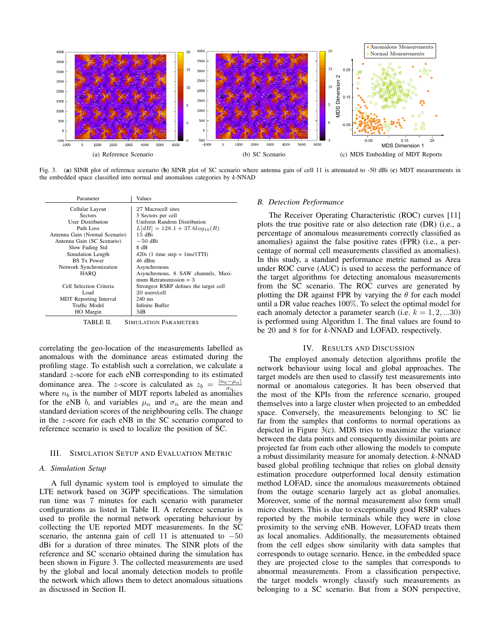

Fig. 3. (a) SINR plot of reference scenario (b) SINR plot of SC scenario where antenna gain of cell 11 is attenuated to -50 dBi (c) MDT measurements in the embedded space classified into normal and anomalous categories by *k*-NNAD

| Parameter                      | Values                                 |  |
|--------------------------------|----------------------------------------|--|
| Cellular Layout                | 27 Macrocell sites                     |  |
| <b>Sectors</b>                 | 3 Sectors per cell                     |  |
| <b>User Distribution</b>       | Uniform Random Distribution            |  |
| Path Loss                      | $L[dB] = 128.1 + 37.6log_{10}(R)$      |  |
| Antenna Gain (Normal Scenario) | 15 dBi                                 |  |
| Antenna Gain (SC Scenario)     | $-50$ dBi                              |  |
| Slow Fading Std                | 8 dB                                   |  |
| Simulation Length              | $420s$ (1 time step = 1ms/1TTI)        |  |
| <b>BS</b> Tx Power             | 46 dBm                                 |  |
| Network Synchronization        | Asynchronous                           |  |
| HARO                           | Asynchronous, 8 SAW channels, Maxi-    |  |
|                                | mum Retransmission $=$ 3               |  |
| Cell Selection Criteria        | Strongest RSRP defines the target cell |  |
| Load.                          | 20 users/cell                          |  |
| <b>MDT</b> Reporting Interval  | $240$ ms                               |  |
| Traffic Model                  | Infinite Buffer                        |  |
| HO Margin                      | 3dB                                    |  |

TABLE II. SIMULATION PARAMETERS

correlating the geo-location of the measurements labelled as anomalous with the dominance areas estimated during the profiling stage. To establish such a correlation, we calculate a standard z-score for each eNB corresponding to its estimated dominance area. The z-score is calculated as  $z_b = \frac{|n_b - \mu_n|}{\sigma_n}$  $\sigma_n$ where  $n_b$  is the number of MDT reports labeled as anomalies for the eNB b, and variables  $\mu_n$  and  $\sigma_n$  are the mean and standard deviation scores of the neighbouring cells. The change in the z-score for each eNB in the SC scenario compared to reference scenario is used to localize the position of SC.

#### III. SIMULATION SETUP AND EVALUATION METRIC

# *A. Simulation Setup*

A full dynamic system tool is employed to simulate the LTE network based on 3GPP specifications. The simulation run time was 7 minutes for each scenario with parameter configurations as listed in Table II. A reference scenario is used to profile the normal network operating behaviour by collecting the UE reported MDT measurements. In the SC scenario, the antenna gain of cell 11 is attenuated to  $-50$ dBi for a duration of three minutes. The SINR plots of the reference and SC scenario obtained during the simulation has been shown in Figure 3. The collected measurements are used by the global and local anomaly detection models to profile the network which allows them to detect anomalous situations as discussed in Section II.

#### *B. Detection Performance*

The Receiver Operating Characteristic (ROC) curves [11] plots the true positive rate or also detection rate (DR) (i.e., a percentage of anomalous measurements correctly classified as anomalies) against the false positive rates (FPR) (i.e., a percentage of normal cell measurements classified as anomalies). In this study, a standard performance metric named as Area under ROC curve (AUC) is used to access the performance of the target algorithms for detecting anomalous measurements from the SC scenario. The ROC curves are generated by plotting the DR against FPR by varying the  $\theta$  for each model until a DR value reaches 100%. To select the optimal model for each anomaly detector a parameter search (i.e.  $k = 1, 2, ... 30$ ) is performed using Algorithm 1. The final values are found to be 20 and 8 for for *k*-NNAD and LOFAD, respectively.

#### IV. RESULTS AND DISCUSSION

The employed anomaly detection algorithms profile the network behaviour using local and global approaches. The target models are then used to classify test measurements into normal or anomalous categories. It has been observed that the most of the KPIs from the reference scenario, grouped themselves into a large cluster when projected to an embedded space. Conversely, the measurements belonging to SC lie far from the samples that conforms to normal operations as depicted in Figure 3(c). MDS tries to maximize the variance between the data points and consequently dissimilar points are projected far from each other allowing the models to compute a robust dissimilarity measure for anomaly detection. *k*-NNAD based global profiling technique that relies on global density estimation procedure outperformed local density estimation method LOFAD, since the anomalous measurements obtained from the outage scenario largely act as global anomalies. Moreover, some of the normal measurement also form small micro clusters. This is due to exceptionally good RSRP values reported by the mobile terminals while they were in close proximity to the serving eNB. However, LOFAD treats them as local anomalies. Additionally, the measurements obtained from the cell edges show similarity with data samples that corresponds to outage scenario. Hence, in the embedded space they are projected close to the samples that corresponds to abnormal measurements. From a classification perspective, the target models wrongly classify such measurements as belonging to a SC scenario. But from a SON perspective,